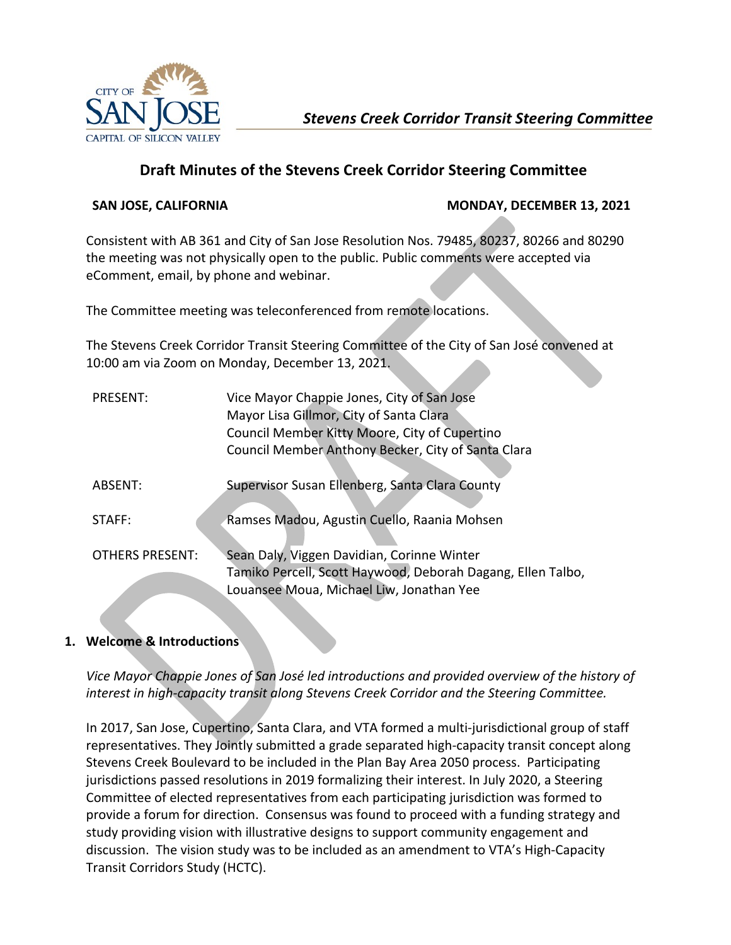

# **Draft Minutes of the Stevens Creek Corridor Steering Committee**

## **SAN JOSE, CALIFORNIA MONDAY, DECEMBER 13, 2021**

Consistent with AB 361 and City of San Jose Resolution Nos. 79485, 80237, 80266 and 80290 the meeting was not physically open to the public. Public comments were accepted via eComment, email, by phone and webinar.

The Committee meeting was teleconferenced from remote locations.

The Stevens Creek Corridor Transit Steering Committee of the City of San José convened at 10:00 am via Zoom on Monday, December 13, 2021.

| PRESENT:               | Vice Mayor Chappie Jones, City of San Jose<br>Mayor Lisa Gillmor, City of Santa Clara<br>Council Member Kitty Moore, City of Cupertino<br>Council Member Anthony Becker, City of Santa Clara |
|------------------------|----------------------------------------------------------------------------------------------------------------------------------------------------------------------------------------------|
| ABSENT:                | Supervisor Susan Ellenberg, Santa Clara County                                                                                                                                               |
| STAFF:                 | Ramses Madou, Agustin Cuello, Raania Mohsen                                                                                                                                                  |
| <b>OTHERS PRESENT:</b> | Sean Daly, Viggen Davidian, Corinne Winter<br>Tamiko Percell, Scott Haywood, Deborah Dagang, Ellen Talbo,<br>Louansee Moua, Michael Liw, Jonathan Yee                                        |

# **1. Welcome & Introductions**

*Vice Mayor Chappie Jones of San José led introductions and provided overview of the history of interest in high-capacity transit along Stevens Creek Corridor and the Steering Committee.*

In 2017, San Jose, Cupertino, Santa Clara, and VTA formed a multi-jurisdictional group of staff representatives. They Jointly submitted a grade separated high-capacity transit concept along Stevens Creek Boulevard to be included in the Plan Bay Area 2050 process. Participating jurisdictions passed resolutions in 2019 formalizing their interest. In July 2020, a Steering Committee of elected representatives from each participating jurisdiction was formed to provide a forum for direction. Consensus was found to proceed with a funding strategy and study providing vision with illustrative designs to support community engagement and discussion. The vision study was to be included as an amendment to VTA's High-Capacity Transit Corridors Study (HCTC).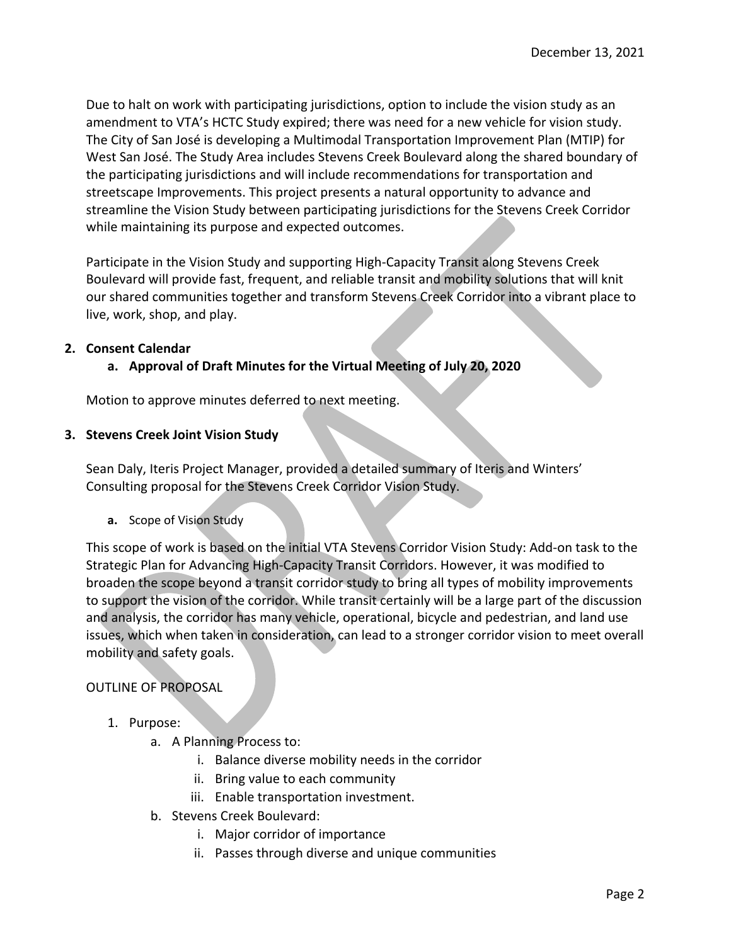Due to halt on work with participating jurisdictions, option to include the vision study as an amendment to VTA's HCTC Study expired; there was need for a new vehicle for vision study. The City of San José is developing a Multimodal Transportation Improvement Plan (MTIP) for West San José. The Study Area includes Stevens Creek Boulevard along the shared boundary of the participating jurisdictions and will include recommendations for transportation and streetscape Improvements. This project presents a natural opportunity to advance and streamline the Vision Study between participating jurisdictions for the Stevens Creek Corridor while maintaining its purpose and expected outcomes.

Participate in the Vision Study and supporting High-Capacity Transit along Stevens Creek Boulevard will provide fast, frequent, and reliable transit and mobility solutions that will knit our shared communities together and transform Stevens Creek Corridor into a vibrant place to live, work, shop, and play.

#### **2. Consent Calendar**

**a. Approval of Draft Minutes for the Virtual Meeting of July 20, 2020**

Motion to approve minutes deferred to next meeting.

#### **3. Stevens Creek Joint Vision Study**

Sean Daly, Iteris Project Manager, provided a detailed summary of Iteris and Winters' Consulting proposal for the Stevens Creek Corridor Vision Study.

**a.** Scope of Vision Study

This scope of work is based on the initial VTA Stevens Corridor Vision Study: Add-on task to the Strategic Plan for Advancing High-Capacity Transit Corridors. However, it was modified to broaden the scope beyond a transit corridor study to bring all types of mobility improvements to support the vision of the corridor. While transit certainly will be a large part of the discussion and analysis, the corridor has many vehicle, operational, bicycle and pedestrian, and land use issues, which when taken in consideration, can lead to a stronger corridor vision to meet overall mobility and safety goals.

#### OUTLINE OF PROPOSAL

- 1. Purpose:
	- a. A Planning Process to:
		- i. Balance diverse mobility needs in the corridor
		- ii. Bring value to each community
		- iii. Enable transportation investment.
	- b. Stevens Creek Boulevard:
		- i. Major corridor of importance
		- ii. Passes through diverse and unique communities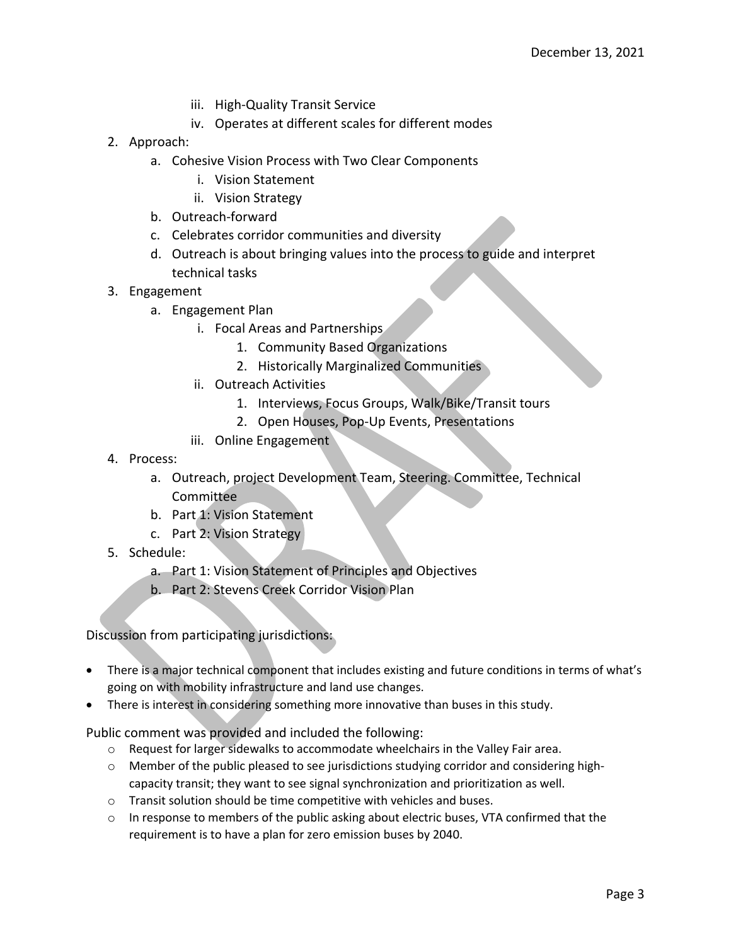- iii. High-Quality Transit Service
- iv. Operates at different scales for different modes
- 2. Approach:
	- a. Cohesive Vision Process with Two Clear Components
		- i. Vision Statement
		- ii. Vision Strategy
	- b. Outreach-forward
	- c. Celebrates corridor communities and diversity
	- d. Outreach is about bringing values into the process to guide and interpret technical tasks
- 3. Engagement
	- a. Engagement Plan
		- i. Focal Areas and Partnerships
			- 1. Community Based Organizations
			- 2. Historically Marginalized Communities
		- ii. Outreach Activities
			- 1. Interviews, Focus Groups, Walk/Bike/Transit tours
			- 2. Open Houses, Pop-Up Events, Presentations
		- iii. Online Engagement
- 4. Process:
	- a. Outreach, project Development Team, Steering. Committee, Technical Committee
	- b. Part 1: Vision Statement
	- c. Part 2: Vision Strategy
- 5. Schedule:
	- a. Part 1: Vision Statement of Principles and Objectives
	- b. Part 2: Stevens Creek Corridor Vision Plan

Discussion from participating jurisdictions:

- There is a major technical component that includes existing and future conditions in terms of what's going on with mobility infrastructure and land use changes.
- There is interest in considering something more innovative than buses in this study.

Public comment was provided and included the following:

- $\circ$  Request for larger sidewalks to accommodate wheelchairs in the Valley Fair area.
- o Member of the public pleased to see jurisdictions studying corridor and considering highcapacity transit; they want to see signal synchronization and prioritization as well.
- o Transit solution should be time competitive with vehicles and buses.
- $\circ$  In response to members of the public asking about electric buses, VTA confirmed that the requirement is to have a plan for zero emission buses by 2040.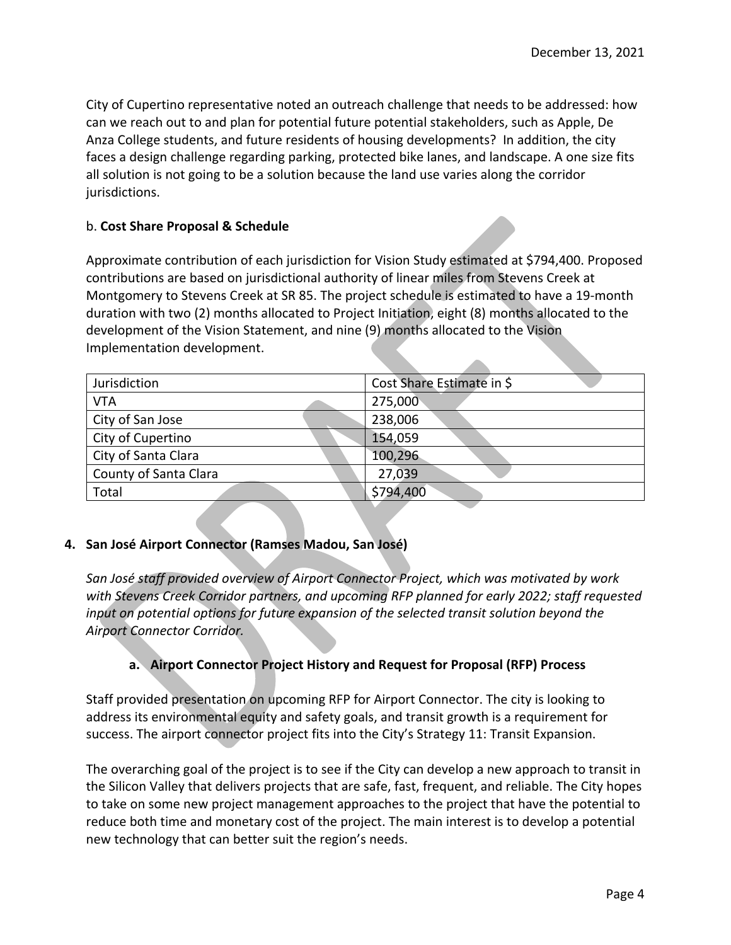City of Cupertino representative noted an outreach challenge that needs to be addressed: how can we reach out to and plan for potential future potential stakeholders, such as Apple, De Anza College students, and future residents of housing developments? In addition, the city faces a design challenge regarding parking, protected bike lanes, and landscape. A one size fits all solution is not going to be a solution because the land use varies along the corridor jurisdictions.

### b. **Cost Share Proposal & Schedule**

Approximate contribution of each jurisdiction for Vision Study estimated at \$794,400. Proposed contributions are based on jurisdictional authority of linear miles from Stevens Creek at Montgomery to Stevens Creek at SR 85. The project schedule is estimated to have a 19-month duration with two (2) months allocated to Project Initiation, eight (8) months allocated to the development of the Vision Statement, and nine (9) months allocated to the Vision Implementation development.

| Jurisdiction          | Cost Share Estimate in \$ |
|-----------------------|---------------------------|
| VTA                   | 275,000                   |
| City of San Jose      | 238,006                   |
| City of Cupertino     | 154,059                   |
| City of Santa Clara   | 100,296                   |
| County of Santa Clara | 27,039                    |
| Total                 | \$794,400                 |
|                       |                           |

#### **4. San José Airport Connector (Ramses Madou, San José)**

*San José staff provided overview of Airport Connector Project, which was motivated by work with Stevens Creek Corridor partners, and upcoming RFP planned for early 2022; staff requested input on potential options for future expansion of the selected transit solution beyond the Airport Connector Corridor.* 

# **a. Airport Connector Project History and Request for Proposal (RFP) Process**

Staff provided presentation on upcoming RFP for Airport Connector. The city is looking to address its environmental equity and safety goals, and transit growth is a requirement for success. The airport connector project fits into the City's Strategy 11: Transit Expansion.

The overarching goal of the project is to see if the City can develop a new approach to transit in the Silicon Valley that delivers projects that are safe, fast, frequent, and reliable. The City hopes to take on some new project management approaches to the project that have the potential to reduce both time and monetary cost of the project. The main interest is to develop a potential new technology that can better suit the region's needs.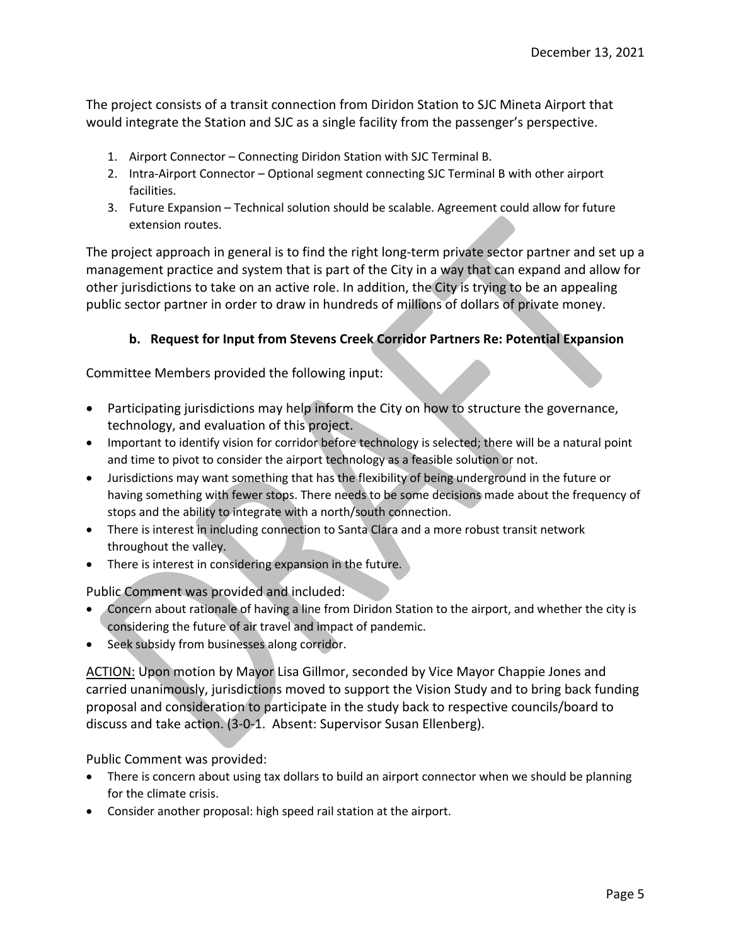The project consists of a transit connection from Diridon Station to SJC Mineta Airport that would integrate the Station and SJC as a single facility from the passenger's perspective.

- 1. Airport Connector Connecting Diridon Station with SJC Terminal B.
- 2. Intra-Airport Connector Optional segment connecting SJC Terminal B with other airport facilities.
- 3. Future Expansion Technical solution should be scalable. Agreement could allow for future extension routes.

The project approach in general is to find the right long-term private sector partner and set up a management practice and system that is part of the City in a way that can expand and allow for other jurisdictions to take on an active role. In addition, the City is trying to be an appealing public sector partner in order to draw in hundreds of millions of dollars of private money.

### **b. Request for Input from Stevens Creek Corridor Partners Re: Potential Expansion**

Committee Members provided the following input:

- Participating jurisdictions may help inform the City on how to structure the governance, technology, and evaluation of this project.
- Important to identify vision for corridor before technology is selected; there will be a natural point and time to pivot to consider the airport technology as a feasible solution or not.
- Jurisdictions may want something that has the flexibility of being underground in the future or having something with fewer stops. There needs to be some decisions made about the frequency of stops and the ability to integrate with a north/south connection.
- There is interest in including connection to Santa Clara and a more robust transit network throughout the valley.
- There is interest in considering expansion in the future.

Public Comment was provided and included:

- Concern about rationale of having a line from Diridon Station to the airport, and whether the city is considering the future of air travel and impact of pandemic.
- Seek subsidy from businesses along corridor.

ACTION: Upon motion by Mayor Lisa Gillmor, seconded by Vice Mayor Chappie Jones and carried unanimously, jurisdictions moved to support the Vision Study and to bring back funding proposal and consideration to participate in the study back to respective councils/board to discuss and take action. (3-0-1. Absent: Supervisor Susan Ellenberg).

Public Comment was provided:

- There is concern about using tax dollars to build an airport connector when we should be planning for the climate crisis.
- Consider another proposal: high speed rail station at the airport.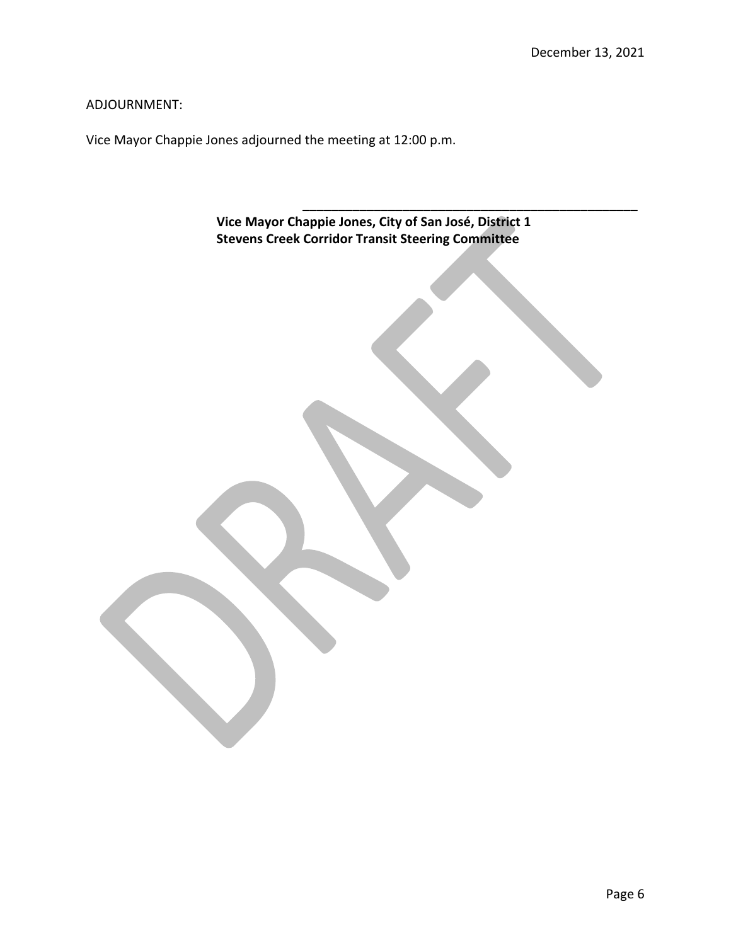**\_\_\_\_\_\_\_\_\_\_\_\_\_\_\_\_\_\_\_\_\_\_\_\_\_\_\_\_\_\_\_\_\_\_\_\_\_\_\_\_\_\_\_\_\_\_\_**

ADJOURNMENT:

Vice Mayor Chappie Jones adjourned the meeting at 12:00 p.m.

**Vice Mayor Chappie Jones, City of San José, District 1 Stevens Creek Corridor Transit Steering Committee**